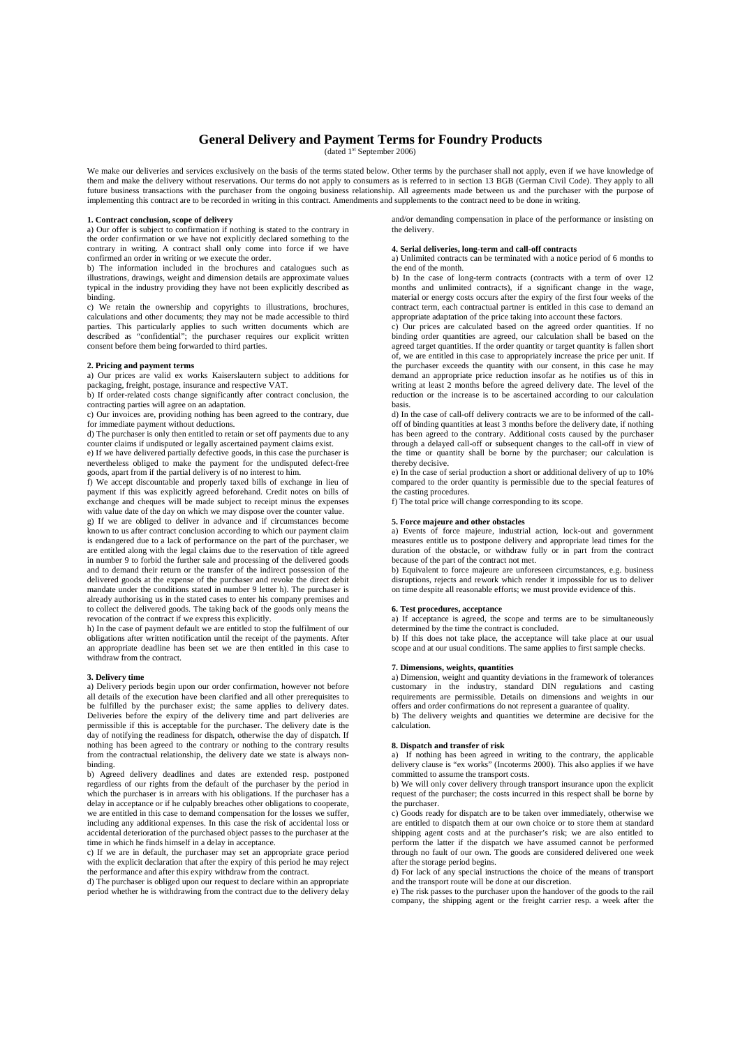# **General Delivery and Payment Terms for Foundry Products**

(dated 1st September 2006)

We make our deliveries and services exclusively on the basis of the terms stated below. Other terms by the purchaser shall not apply, even if we have knowledge of them and make the delivery without reservations. Our terms do not apply to consumers as is referred to in section 13 BGB (German Civil Code). They apply to all future business transactions with the purchaser from the ongoing business relationship. All agreements made between us and the purchaser with the purpose of implementing this contract are to be recorded in writing in this contract. Amendments and supplements to the contract need to be done in writing.

### **1. Contract conclusion, scope of delivery**

a) Our offer is subject to confirmation if nothing is stated to the contrary in the order confirmation or we have not explicitly declared something to the contrary in writing. A contract shall only come into force if we have confirmed an order in writing or we execute the order.

b) The information included in the brochures and catalogues such as illustrations, drawings, weight and dimension details are approximate values typical in the industry providing they have not been explicitly described as binding.

c) We retain the ownership and copyrights to illustrations, brochures, calculations and other documents; they may not be made accessible to third parties. This particularly applies to such written documents which are described as "confidential"; the purchaser requires our explicit written consent before them being forwarded to third parties.

### **2. Pricing and payment terms**

a) Our prices are valid ex works Kaiserslautern subject to additions for packaging, freight, postage, insurance and respective VAT.

b) If order-related costs change significantly after contract conclusion, the contracting parties will agree on an adaptation.

c) Our invoices are, providing nothing has been agreed to the contrary, due for immediate payment without deductions.

d) The purchaser is only then entitled to retain or set off payments due to any counter claims if undisputed or legally ascertained payment claims exist.

e) If we have delivered partially defective goods, in this case the purchaser is nevertheless obliged to make the payment for the undisputed defect-free goods, apart from if the partial delivery is of no interest to him.

f) We accept discountable and properly taxed bills of exchange in lieu of payment if this was explicitly agreed beforehand. Credit notes on bills of exchange and cheques will be made subject to receipt minus the expenses with value date of the day on which we may dispose over the counter value.

g) If we are obliged to deliver in advance and if circumstances become known to us after contract conclusion according to which our payment claim is endangered due to a lack of performance on the part of the purchaser, we are entitled along with the legal claims due to the reservation of title agreed in number 9 to forbid the further sale and processing of the delivered goods and to demand their return or the transfer of the indirect possession of the delivered goods at the expense of the purchaser and revoke the direct debit mandate under the conditions stated in number 9 letter h). The purchaser is already authorising us in the stated cases to enter his company premises and to collect the delivered goods. The taking back of the goods only means the revocation of the contract if we express this explicitly.

h) In the case of payment default we are entitled to stop the fulfilment of our obligations after written notification until the receipt of the payments. After an appropriate deadline has been set we are then entitled in this case to withdraw from the contract.

### **3. Delivery time**

a) Delivery periods begin upon our order confirmation, however not before all details of the execution have been clarified and all other prerequisites to be fulfilled by the purchaser exist; the same applies to delivery dates. Deliveries before the expiry of the delivery time and part deliveries are permissible if this is acceptable for the purchaser. The delivery date is the day of notifying the readiness for dispatch, otherwise the day of dispatch. If nothing has been agreed to the contrary or nothing to the contrary results from the contractual relationship, the delivery date we state is always nonbinding.

b) Agreed delivery deadlines and dates are extended resp. postponed regardless of our rights from the default of the purchaser by the period in which the purchaser is in arrears with his obligations. If the purchaser has a delay in acceptance or if he culpably breaches other obligations to cooperate, we are entitled in this case to demand compensation for the losses we suffer, including any additional expenses. In this case the risk of accidental loss or accidental deterioration of the purchased object passes to the purchaser at the time in which he finds himself in a delay in acceptance.

c) If we are in default, the purchaser may set an appropriate grace period with the explicit declaration that after the expiry of this period he may reject the performance and after this expiry withdraw from the contract.

d) The purchaser is obliged upon our request to declare within an appropriate period whether he is withdrawing from the contract due to the delivery delay

and/or demanding compensation in place of the performance or insisting on the delivery.

## **4. Serial deliveries, long-term and call-off contracts**

a) Unlimited contracts can be terminated with a notice period of 6 months to the end of the month.

b) In the case of long-term contracts (contracts with a term of over 12 months and unlimited contracts), if a significant change in the wage, material or energy costs occurs after the expiry of the first four weeks of the contract term, each contractual partner is entitled in this case to demand an appropriate adaptation of the price taking into account these factors.

c) Our prices are calculated based on the agreed order quantities. If no binding order quantities are agreed, our calculation shall be based on the agreed target quantities. If the order quantity or target quantity is fallen short of, we are entitled in this case to appropriately increase the price per unit. If the purchaser exceeds the quantity with our consent, in this case he may demand an appropriate price reduction insofar as he notifies us of this in writing at least 2 months before the agreed delivery date. The level of the reduction or the increase is to be ascertained according to our calculation basis.

d) In the case of call-off delivery contracts we are to be informed of the calloff of binding quantities at least 3 months before the delivery date, if nothing has been agreed to the contrary. Additional costs caused by the purchaser through a delayed call-off or subsequent changes to the call-off in view of the time or quantity shall be borne by the purchaser; our calculation is thereby decisive.

e) In the case of serial production a short or additional delivery of up to 10% compared to the order quantity is permissible due to the special features of the casting procedures.

f) The total price will change corresponding to its scope.

## **5. Force majeure and other obstacles**

a) Events of force majeure, industrial action, lock-out and government measures entitle us to postpone delivery and appropriate lead times for the duration of the obstacle, or withdraw fully or in part from the contract because of the part of the contract not met.

b) Equivalent to force majeure are unforeseen circumstances, e.g. business disruptions, rejects and rework which render it impossible for us to deliver on time despite all reasonable efforts; we must provide evidence of this.

### **6. Test procedures, acceptance**

a) If acceptance is agreed, the scope and terms are to be simultaneously determined by the time the contract is concluded.

b) If this does not take place, the acceptance will take place at our usual scope and at our usual conditions. The same applies to first sample checks.

#### **7. Dimensions, weights, quantities**

a) Dimension, weight and quantity deviations in the framework of tolerances customary in the industry, standard DIN regulations and casting requirements are permissible. Details on dimensions and weights in our offers and order confirmations do not represent a guarantee of quality. b) The delivery weights and quantities we determine are decisive for the

calculation.

### **8. Dispatch and transfer of risk**

a) If nothing has been agreed in writing to the contrary, the applicable delivery clause is "ex works" (Incoterms 2000). This also applies if we have committed to assume the transport costs.

b) We will only cover delivery through transport insurance upon the explicit request of the purchaser; the costs incurred in this respect shall be borne by the purchaser.

c) Goods ready for dispatch are to be taken over immediately, otherwise we are entitled to dispatch them at our own choice or to store them at standard shipping agent costs and at the purchaser's risk; we are also entitled to perform the latter if the dispatch we have assumed cannot be performed through no fault of our own. The goods are considered delivered one week after the storage period begins.

d) For lack of any special instructions the choice of the means of transport and the transport route will be done at our discretion.

e) The risk passes to the purchaser upon the handover of the goods to the rail company, the shipping agent or the freight carrier resp. a week after the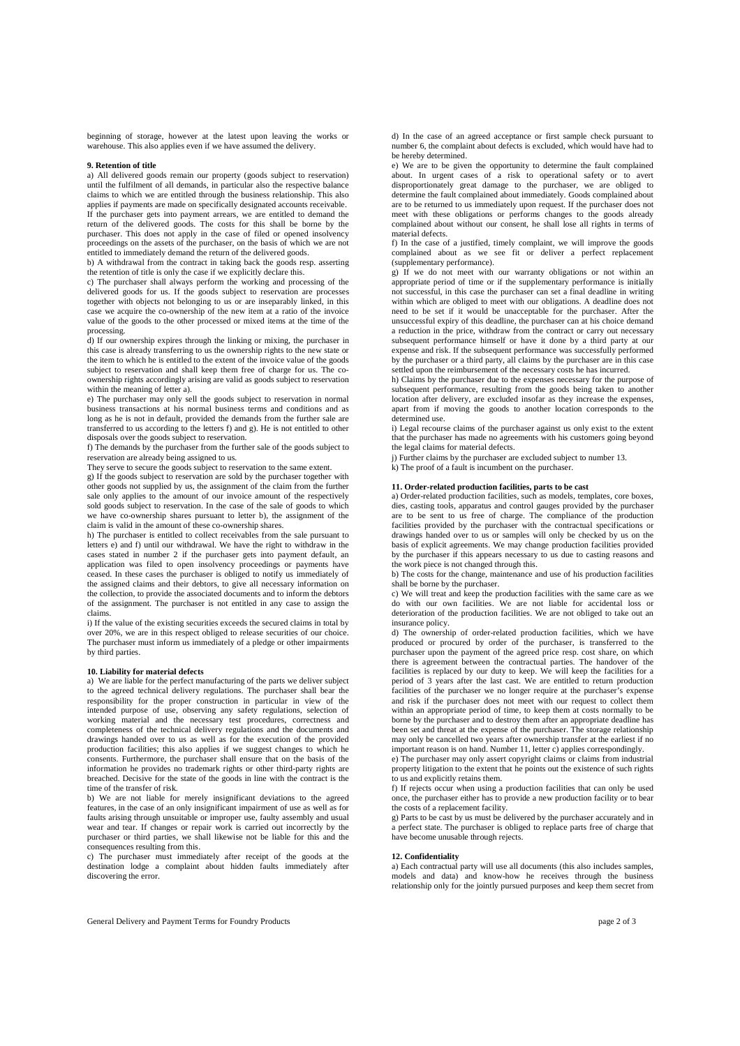beginning of storage, however at the latest upon leaving the works or warehouse. This also applies even if we have assumed the delivery.

### **9. Retention of title**

a) All delivered goods remain our property (goods subject to reservation) until the fulfilment of all demands, in particular also the respective balance claims to which we are entitled through the business relationship. This also applies if payments are made on specifically designated accounts receivable. If the purchaser gets into payment arrears, we are entitled to demand the return of the delivered goods. The costs for this shall be borne by the purchaser. This does not apply in the case of filed or opened insolvency proceedings on the assets of the purchaser, on the basis of which we are not entitled to immediately demand the return of the delivered goods.

b) A withdrawal from the contract in taking back the goods resp. asserting the retention of title is only the case if we explicitly declare this.

c) The purchaser shall always perform the working and processing of the delivered goods for us. If the goods subject to reservation are processes together with objects not belonging to us or are inseparably linked, in this case we acquire the co-ownership of the new item at a ratio of the invoice value of the goods to the other processed or mixed items at the time of the processing.

d) If our ownership expires through the linking or mixing, the purchaser in this case is already transferring to us the ownership rights to the new state or the item to which he is entitled to the extent of the invoice value of the goods subject to reservation and shall keep them free of charge for us. The coownership rights accordingly arising are valid as goods subject to reservation within the meaning of letter a).

e) The purchaser may only sell the goods subject to reservation in normal business transactions at his normal business terms and conditions and as long as he is not in default, provided the demands from the further sale are transferred to us according to the letters f) and g). He is not entitled to other disposals over the goods subject to reservation.

f) The demands by the purchaser from the further sale of the goods subject to reservation are already being assigned to us.

They serve to secure the goods subject to reservation to the same extent.

g) If the goods subject to reservation are sold by the purchaser together with other goods not supplied by us, the assignment of the claim from the further sale only applies to the amount of our invoice amount of the respectively sold goods subject to reservation. In the case of the sale of goods to which we have co-ownership shares pursuant to letter b), the assignment of the claim is valid in the amount of these co-ownership shares.

h) The purchaser is entitled to collect receivables from the sale pursuant to letters e) and f) until our withdrawal. We have the right to withdraw in the cases stated in number 2 if the purchaser gets into payment default, an application was filed to open insolvency proceedings or payments have ceased. In these cases the purchaser is obliged to notify us immediately of the assigned claims and their debtors, to give all necessary information on the collection, to provide the associated documents and to inform the debtors of the assignment. The purchaser is not entitled in any case to assign the claims.

i) If the value of the existing securities exceeds the secured claims in total by over 20%, we are in this respect obliged to release securities of our choice. The purchaser must inform us immediately of a pledge or other impairments by third parties.

### **10. Liability for material defects**

a) We are liable for the perfect manufacturing of the parts we deliver subject to the agreed technical delivery regulations. The purchaser shall bear the responsibility for the proper construction in particular in view of the intended purpose of use, observing any safety regulations, selection of working material and the necessary test procedures, correctness and completeness of the technical delivery regulations and the documents and drawings handed over to us as well as for the execution of the provided production facilities; this also applies if we suggest changes to which he consents. Furthermore, the purchaser shall ensure that on the basis of the information he provides no trademark rights or other third-party rights are breached. Decisive for the state of the goods in line with the contract is the time of the transfer of risk.

b) We are not liable for merely insignificant deviations to the agreed features, in the case of an only insignificant impairment of use as well as for faults arising through unsuitable or improper use, faulty assembly and usual wear and tear. If changes or repair work is carried out incorrectly by the purchaser or third parties, we shall likewise not be liable for this and the consequences resulting from this.

c) The purchaser must immediately after receipt of the goods at the destination lodge a complaint about hidden faults immediately after discovering the error.

d) In the case of an agreed acceptance or first sample check pursuant to number 6, the complaint about defects is excluded, which would have had to be hereby determined.

e) We are to be given the opportunity to determine the fault complained about. In urgent cases of a risk to operational safety or to avert disproportionately great damage to the purchaser, we are obliged to determine the fault complained about immediately. Goods complained about are to be returned to us immediately upon request. If the purchaser does not meet with these obligations or performs changes to the goods already complained about without our consent, he shall lose all rights in terms of material defects.

f) In the case of a justified, timely complaint, we will improve the goods complained about as we see fit or deliver a perfect replacement (supplementary performance).

g) If we do not meet with our warranty obligations or not within an appropriate period of time or if the supplementary performance is initially not successful, in this case the purchaser can set a final deadline in writing within which are obliged to meet with our obligations. A deadline does not need to be set if it would be unacceptable for the purchaser. After the unsuccessful expiry of this deadline, the purchaser can at his choice demand a reduction in the price, withdraw from the contract or carry out necessary subsequent performance himself or have it done by a third party at our expense and risk. If the subsequent performance was successfully performed by the purchaser or a third party, all claims by the purchaser are in this case settled upon the reimbursement of the necessary costs he has incurred.

h) Claims by the purchaser due to the expenses necessary for the purpose of subsequent performance, resulting from the goods being taken to another location after delivery, are excluded insofar as they increase the expenses. apart from if moving the goods to another location corresponds to the determined use.

i) Legal recourse claims of the purchaser against us only exist to the extent that the purchaser has made no agreements with his customers going beyond the legal claims for material defects.

j) Further claims by the purchaser are excluded subject to number 13.

k) The proof of a fault is incumbent on the purchaser.

### **11. Order-related production facilities, parts to be cast**

a) Order-related production facilities, such as models, templates, core boxes, dies, casting tools, apparatus and control gauges provided by the purchaser are to be sent to us free of charge. The compliance of the production facilities provided by the purchaser with the contractual specifications or drawings handed over to us or samples will only be checked by us on the basis of explicit agreements. We may change production facilities provided by the purchaser if this appears necessary to us due to casting reasons and the work piece is not changed through this.

b) The costs for the change, maintenance and use of his production facilities shall be borne by the purchaser.

c) We will treat and keep the production facilities with the same care as we do with our own facilities. We are not liable for accidental loss or deterioration of the production facilities. We are not obliged to take out an insurance policy.

d) The ownership of order-related production facilities, which we have produced or procured by order of the purchaser, is transferred to the purchaser upon the payment of the agreed price resp. cost share, on which there is agreement between the contractual parties. The handover of the facilities is replaced by our duty to keep. We will keep the facilities for a period of 3 years after the last cast. We are entitled to return production facilities of the purchaser we no longer require at the purchaser's expense and risk if the purchaser does not meet with our request to collect them within an appropriate period of time, to keep them at costs normally to be borne by the purchaser and to destroy them after an appropriate deadline has been set and threat at the expense of the purchaser. The storage relationship may only be cancelled two years after ownership transfer at the earliest if no important reason is on hand. Number 11, letter c) applies correspondingly.

e) The purchaser may only assert copyright claims or claims from industrial property litigation to the extent that he points out the existence of such rights to us and explicitly retains them.

f) If rejects occur when using a production facilities that can only be used once, the purchaser either has to provide a new production facility or to bear the costs of a replacement facility.

g) Parts to be cast by us must be delivered by the purchaser accurately and in a perfect state. The purchaser is obliged to replace parts free of charge that have become unusable through rejects.

### **12. Confidentiality**

a) Each contractual party will use all documents (this also includes samples, models and data) and know-how he receives through the business relationship only for the jointly pursued purposes and keep them secret from